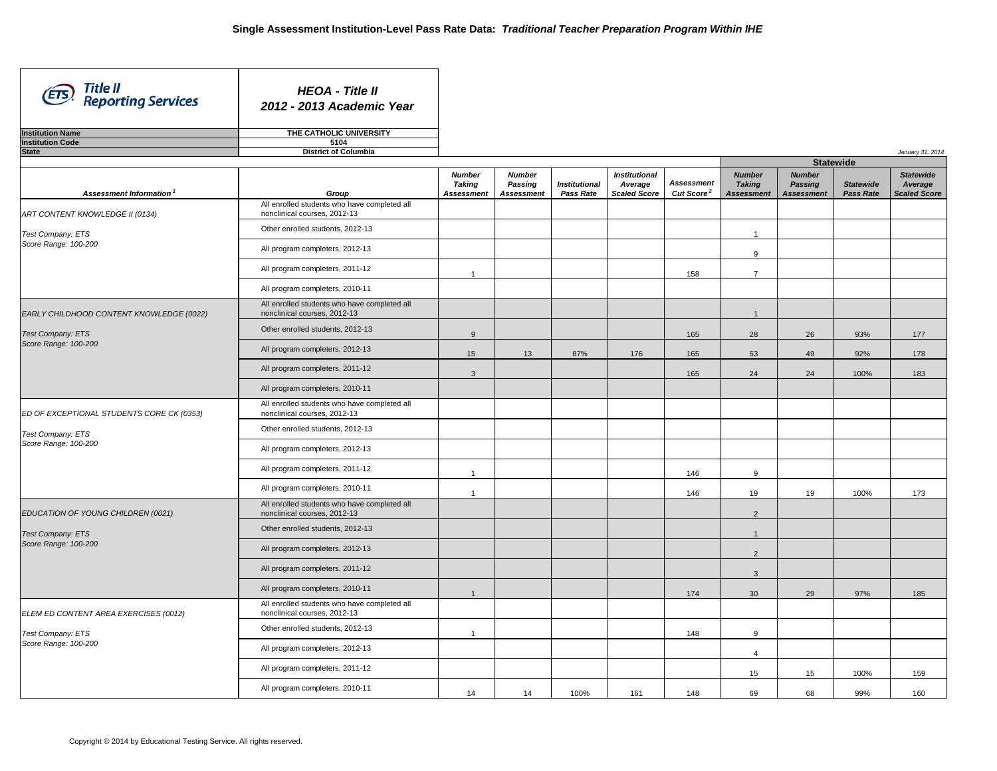*January 31, 2014*

| <b>HEOA - Title II</b><br>2012 - 2013 Academic Year |
|-----------------------------------------------------|
| THE CATHOLIC UNIVERSITY                             |
| 5104                                                |
| <b>District of Columbia</b>                         |
|                                                     |

 $\mathbf{I}$ 

| Assessment Information                    | Group                                                                        | <b>Number</b><br><b>Taking</b><br><b>Assessment</b> | <b>Number</b><br>Passing<br><b>Assessment</b> | <b>Institutional</b><br>Pass Rate | <b>Institutional</b><br>Average<br><b>Scaled Score</b> | <b>Assessment</b><br>Cut Score <sup>2</sup> | <b>Number</b><br><b>Taking</b><br><b>Assessment</b> | <b>Number</b><br>Passing<br><b>Assessment</b> | <b>Statewide</b><br><b>Pass Rate</b> | <b>Statewide</b><br>Average<br><b>Scaled Score</b> |
|-------------------------------------------|------------------------------------------------------------------------------|-----------------------------------------------------|-----------------------------------------------|-----------------------------------|--------------------------------------------------------|---------------------------------------------|-----------------------------------------------------|-----------------------------------------------|--------------------------------------|----------------------------------------------------|
| ART CONTENT KNOWLEDGE II (0134)           | All enrolled students who have completed all<br>nonclinical courses, 2012-13 |                                                     |                                               |                                   |                                                        |                                             |                                                     |                                               |                                      |                                                    |
| Test Company: ETS                         | Other enrolled students, 2012-13                                             |                                                     |                                               |                                   |                                                        |                                             | $\mathbf{1}$                                        |                                               |                                      |                                                    |
| Score Range: 100-200                      | All program completers, 2012-13                                              |                                                     |                                               |                                   |                                                        |                                             | 9                                                   |                                               |                                      |                                                    |
|                                           | All program completers, 2011-12                                              | $\overline{1}$                                      |                                               |                                   |                                                        | 158                                         | $\overline{7}$                                      |                                               |                                      |                                                    |
|                                           | All program completers, 2010-11                                              |                                                     |                                               |                                   |                                                        |                                             |                                                     |                                               |                                      |                                                    |
| EARLY CHILDHOOD CONTENT KNOWLEDGE (0022)  | All enrolled students who have completed all<br>nonclinical courses, 2012-13 |                                                     |                                               |                                   |                                                        |                                             | $\overline{1}$                                      |                                               |                                      |                                                    |
| <b>Test Company: ETS</b>                  | Other enrolled students, 2012-13                                             | 9                                                   |                                               |                                   |                                                        | 165                                         | 28                                                  | 26                                            | 93%                                  | 177                                                |
| Score Range: 100-200                      | All program completers, 2012-13                                              | 15                                                  | 13                                            | 87%                               | 176                                                    | 165                                         | 53                                                  | 49                                            | 92%                                  | 178                                                |
|                                           | All program completers, 2011-12                                              | $\mathbf{3}$                                        |                                               |                                   |                                                        | 165                                         | 24                                                  | 24                                            | 100%                                 | 183                                                |
|                                           | All program completers, 2010-11                                              |                                                     |                                               |                                   |                                                        |                                             |                                                     |                                               |                                      |                                                    |
| ED OF EXCEPTIONAL STUDENTS CORE CK (0353) | All enrolled students who have completed all<br>nonclinical courses, 2012-13 |                                                     |                                               |                                   |                                                        |                                             |                                                     |                                               |                                      |                                                    |
| <b>Test Company: ETS</b>                  | Other enrolled students, 2012-13                                             |                                                     |                                               |                                   |                                                        |                                             |                                                     |                                               |                                      |                                                    |
| Score Range: 100-200                      | All program completers, 2012-13                                              |                                                     |                                               |                                   |                                                        |                                             |                                                     |                                               |                                      |                                                    |
|                                           | All program completers, 2011-12                                              | $\overline{1}$                                      |                                               |                                   |                                                        | 146                                         | 9                                                   |                                               |                                      |                                                    |
|                                           | All program completers, 2010-11                                              | $\overline{1}$                                      |                                               |                                   |                                                        | 146                                         | 19                                                  | 19                                            | 100%                                 | 173                                                |
| EDUCATION OF YOUNG CHILDREN (0021)        | All enrolled students who have completed all<br>nonclinical courses, 2012-13 |                                                     |                                               |                                   |                                                        |                                             | 2                                                   |                                               |                                      |                                                    |
| <b>Test Company: ETS</b>                  | Other enrolled students, 2012-13                                             |                                                     |                                               |                                   |                                                        |                                             | $\overline{1}$                                      |                                               |                                      |                                                    |
| Score Range: 100-200                      | All program completers, 2012-13                                              |                                                     |                                               |                                   |                                                        |                                             | 2                                                   |                                               |                                      |                                                    |
|                                           | All program completers, 2011-12                                              |                                                     |                                               |                                   |                                                        |                                             | $\mathbf{3}$                                        |                                               |                                      |                                                    |
|                                           | All program completers, 2010-11                                              | $\overline{1}$                                      |                                               |                                   |                                                        | 174                                         | 30                                                  | 29                                            | 97%                                  | 185                                                |
| ELEM ED CONTENT AREA EXERCISES (0012)     | All enrolled students who have completed all<br>nonclinical courses, 2012-13 |                                                     |                                               |                                   |                                                        |                                             |                                                     |                                               |                                      |                                                    |
| <b>Test Company: ETS</b>                  | Other enrolled students, 2012-13                                             | $\overline{1}$                                      |                                               |                                   |                                                        | 148                                         | 9                                                   |                                               |                                      |                                                    |
| Score Range: 100-200                      | All program completers, 2012-13                                              |                                                     |                                               |                                   |                                                        |                                             | $\Delta$                                            |                                               |                                      |                                                    |
|                                           | All program completers, 2011-12                                              |                                                     |                                               |                                   |                                                        |                                             | 15                                                  | 15                                            | 100%                                 | 159                                                |
|                                           | All program completers, 2010-11                                              | 14                                                  | 14                                            | 100%                              | 161                                                    | 148                                         | 69                                                  | 68                                            | 99%                                  | 160                                                |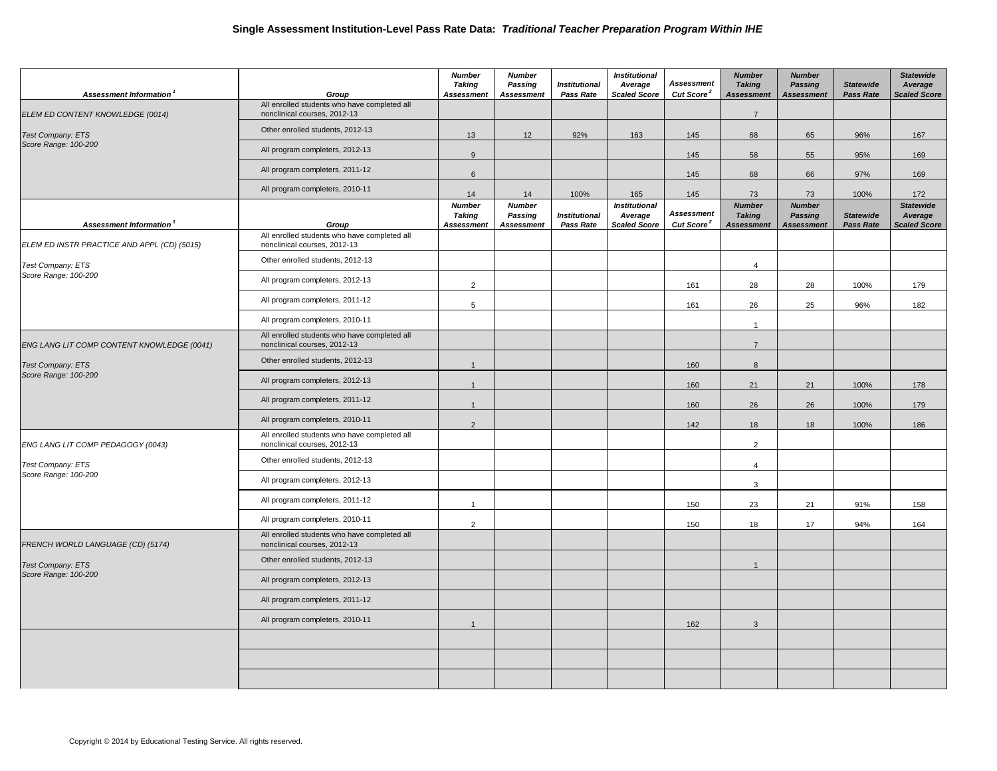| Assessment Information <sup>1</sup>              | Group                                                                        | <b>Number</b><br>Taking<br><b>Assessment</b> | <b>Number</b><br>Passing<br><b>Assessment</b> | <b>Institutional</b><br>Pass Rate | <b>Institutional</b><br>Average<br><b>Scaled Score</b> | <b>Assessment</b><br>Cut Score <sup>2</sup> | <b>Number</b><br><b>Taking</b><br><b>Assessment</b> | <b>Number</b><br>Passing<br><b>Assessment</b>        | <b>Statewide</b><br><b>Pass Rate</b> | <b>Statewide</b><br>Average<br><b>Scaled Score</b> |
|--------------------------------------------------|------------------------------------------------------------------------------|----------------------------------------------|-----------------------------------------------|-----------------------------------|--------------------------------------------------------|---------------------------------------------|-----------------------------------------------------|------------------------------------------------------|--------------------------------------|----------------------------------------------------|
| ELEM ED CONTENT KNOWLEDGE (0014)                 | All enrolled students who have completed all<br>nonclinical courses, 2012-13 |                                              |                                               |                                   |                                                        |                                             | $\overline{7}$                                      |                                                      |                                      |                                                    |
| <b>Test Company: ETS</b>                         | Other enrolled students, 2012-13                                             | 13                                           | 12 <sup>°</sup>                               | 92%                               | 163                                                    | 145                                         | 68                                                  | 65                                                   | 96%                                  | 167                                                |
| Score Range: 100-200                             | All program completers, 2012-13                                              | 9                                            |                                               |                                   |                                                        | 145                                         | 58                                                  | 55                                                   | 95%                                  | 169                                                |
|                                                  | All program completers, 2011-12                                              | $6\overline{6}$                              |                                               |                                   |                                                        | 145                                         | 68                                                  | 66                                                   | 97%                                  | 169                                                |
|                                                  | All program completers, 2010-11                                              | 14                                           | 14                                            | 100%                              | 165                                                    | 145                                         | 73                                                  | 73                                                   | 100%                                 | 172                                                |
| Assessment Information                           | Group                                                                        | <b>Number</b><br>Taking<br><b>Assessment</b> | <b>Number</b><br>Passing<br><b>Assessment</b> | <b>Institutional</b><br>Pass Rate | <b>Institutional</b><br>Average<br><b>Scaled Score</b> | <b>Assessment</b><br>Cut Score <sup>2</sup> | <b>Number</b><br><b>Taking</b><br><b>Assessment</b> | <b>Number</b><br><b>Passing</b><br><b>Assessment</b> | <b>Statewide</b><br><b>Pass Rate</b> | <b>Statewide</b><br>Average<br><b>Scaled Score</b> |
| ELEM ED INSTR PRACTICE AND APPL (CD) (5015)      | All enrolled students who have completed all<br>nonclinical courses, 2012-13 |                                              |                                               |                                   |                                                        |                                             |                                                     |                                                      |                                      |                                                    |
| Test Company: ETS                                | Other enrolled students, 2012-13                                             |                                              |                                               |                                   |                                                        |                                             | $\overline{4}$                                      |                                                      |                                      |                                                    |
| Score Range: 100-200                             | All program completers, 2012-13                                              | $\overline{2}$                               |                                               |                                   |                                                        | 161                                         | 28                                                  | 28                                                   | 100%                                 | 179                                                |
|                                                  | All program completers, 2011-12                                              | 5                                            |                                               |                                   |                                                        | 161                                         | 26                                                  | 25                                                   | 96%                                  | 182                                                |
|                                                  | All program completers, 2010-11                                              |                                              |                                               |                                   |                                                        |                                             | $\overline{1}$                                      |                                                      |                                      |                                                    |
| ENG LANG LIT COMP CONTENT KNOWLEDGE (0041)       | All enrolled students who have completed all<br>nonclinical courses, 2012-13 |                                              |                                               |                                   |                                                        |                                             | $\overline{7}$                                      |                                                      |                                      |                                                    |
| <b>Test Company: ETS</b>                         | Other enrolled students, 2012-13                                             | $\overline{1}$                               |                                               |                                   |                                                        | 160                                         | 8                                                   |                                                      |                                      |                                                    |
| Score Range: 100-200                             | All program completers, 2012-13                                              | $\overline{1}$                               |                                               |                                   |                                                        | 160                                         | 21                                                  | 21                                                   | 100%                                 | 178                                                |
|                                                  | All program completers, 2011-12                                              | $\overline{1}$                               |                                               |                                   |                                                        | 160                                         | 26                                                  | 26                                                   | 100%                                 | 179                                                |
|                                                  | All program completers, 2010-11                                              | 2                                            |                                               |                                   |                                                        | 142                                         | 18                                                  | 18                                                   | 100%                                 | 186                                                |
| ENG LANG LIT COMP PEDAGOGY (0043)                | All enrolled students who have completed all<br>nonclinical courses, 2012-13 |                                              |                                               |                                   |                                                        |                                             | $\overline{2}$                                      |                                                      |                                      |                                                    |
| <b>Test Company: ETS</b>                         | Other enrolled students, 2012-13                                             |                                              |                                               |                                   |                                                        |                                             | $\overline{4}$                                      |                                                      |                                      |                                                    |
| Score Range: 100-200                             | All program completers, 2012-13                                              |                                              |                                               |                                   |                                                        |                                             | 3                                                   |                                                      |                                      |                                                    |
|                                                  | All program completers, 2011-12                                              | $\overline{1}$                               |                                               |                                   |                                                        | 150                                         | 23                                                  | 21                                                   | 91%                                  | 158                                                |
|                                                  | All program completers, 2010-11                                              | $\overline{2}$                               |                                               |                                   |                                                        | 150                                         | 18                                                  | 17                                                   | 94%                                  | 164                                                |
| FRENCH WORLD LANGUAGE (CD) (5174)                | All enrolled students who have completed all<br>nonclinical courses, 2012-13 |                                              |                                               |                                   |                                                        |                                             |                                                     |                                                      |                                      |                                                    |
| <b>Test Company: ETS</b><br>Score Range: 100-200 | Other enrolled students, 2012-13                                             |                                              |                                               |                                   |                                                        |                                             | $\overline{1}$                                      |                                                      |                                      |                                                    |
|                                                  | All program completers, 2012-13                                              |                                              |                                               |                                   |                                                        |                                             |                                                     |                                                      |                                      |                                                    |
|                                                  | All program completers, 2011-12                                              |                                              |                                               |                                   |                                                        |                                             |                                                     |                                                      |                                      |                                                    |
|                                                  | All program completers, 2010-11                                              | $\overline{1}$                               |                                               |                                   |                                                        | 162                                         | $\mathbf{3}$                                        |                                                      |                                      |                                                    |
|                                                  |                                                                              |                                              |                                               |                                   |                                                        |                                             |                                                     |                                                      |                                      |                                                    |
|                                                  |                                                                              |                                              |                                               |                                   |                                                        |                                             |                                                     |                                                      |                                      |                                                    |
|                                                  |                                                                              |                                              |                                               |                                   |                                                        |                                             |                                                     |                                                      |                                      |                                                    |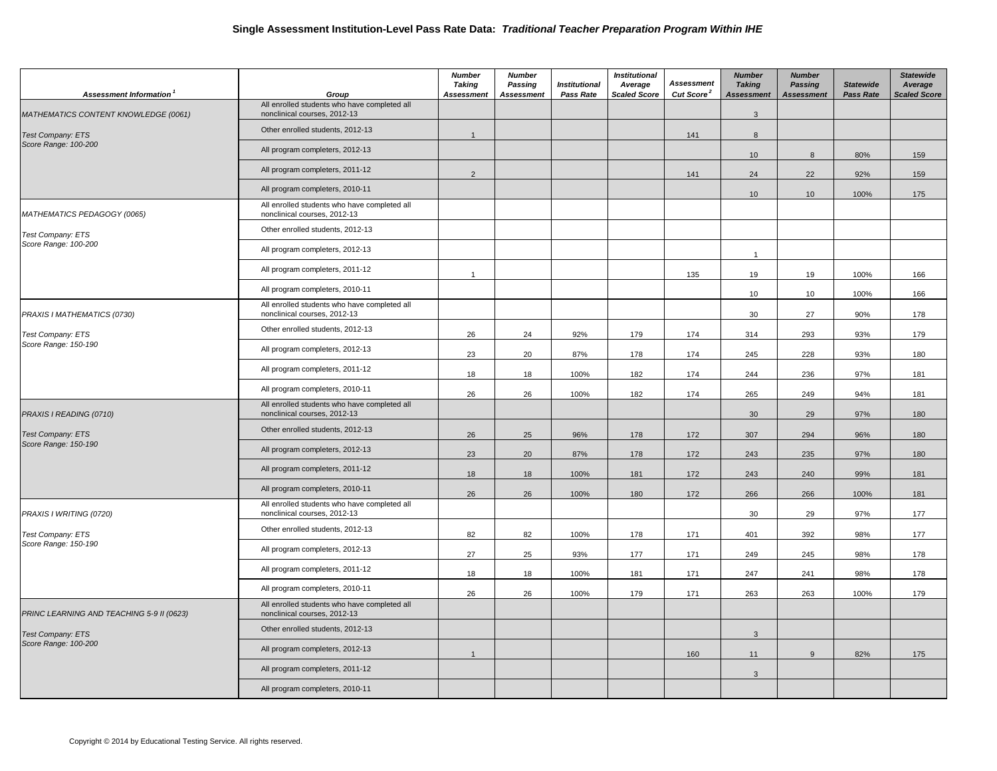| Assessment Information                    | Group                                                                        | <b>Number</b><br><b>Taking</b><br><b>Assessment</b> | <b>Number</b><br>Passing<br><b>Assessment</b> | <b>Institutional</b><br><b>Pass Rate</b> | <b>Institutional</b><br>Average<br><b>Scaled Score</b> | <b>Assessment</b><br>Cut Score <sup>2</sup> | <b>Number</b><br><b>Taking</b><br><b>Assessment</b> | <b>Number</b><br><b>Passing</b><br><b>Assessment</b> | <b>Statewide</b><br><b>Pass Rate</b> | <b>Statewide</b><br>Average<br><b>Scaled Score</b> |
|-------------------------------------------|------------------------------------------------------------------------------|-----------------------------------------------------|-----------------------------------------------|------------------------------------------|--------------------------------------------------------|---------------------------------------------|-----------------------------------------------------|------------------------------------------------------|--------------------------------------|----------------------------------------------------|
| MATHEMATICS CONTENT KNOWLEDGE (0061)      | All enrolled students who have completed all<br>nonclinical courses, 2012-13 |                                                     |                                               |                                          |                                                        |                                             | $\mathbf{3}$                                        |                                                      |                                      |                                                    |
| <b>Test Company: ETS</b>                  | Other enrolled students, 2012-13                                             | $\overline{1}$                                      |                                               |                                          |                                                        | 141                                         | 8                                                   |                                                      |                                      |                                                    |
| Score Range: 100-200                      | All program completers, 2012-13                                              |                                                     |                                               |                                          |                                                        |                                             | 10 <sup>1</sup>                                     | 8                                                    | 80%                                  | 159                                                |
|                                           | All program completers, 2011-12                                              | 2                                                   |                                               |                                          |                                                        | 141                                         | 24                                                  | 22                                                   | 92%                                  | 159                                                |
|                                           | All program completers, 2010-11                                              |                                                     |                                               |                                          |                                                        |                                             | 10                                                  | 10                                                   | 100%                                 | 175                                                |
| MATHEMATICS PEDAGOGY (0065)               | All enrolled students who have completed all<br>nonclinical courses, 2012-13 |                                                     |                                               |                                          |                                                        |                                             |                                                     |                                                      |                                      |                                                    |
| Test Company: ETS                         | Other enrolled students, 2012-13                                             |                                                     |                                               |                                          |                                                        |                                             |                                                     |                                                      |                                      |                                                    |
| Score Range: 100-200                      | All program completers, 2012-13                                              |                                                     |                                               |                                          |                                                        |                                             | $\mathbf{1}$                                        |                                                      |                                      |                                                    |
|                                           | All program completers, 2011-12                                              | $\mathbf{1}$                                        |                                               |                                          |                                                        | 135                                         | 19                                                  | 19                                                   | 100%                                 | 166                                                |
|                                           | All program completers, 2010-11                                              |                                                     |                                               |                                          |                                                        |                                             | 10                                                  | 10                                                   | 100%                                 | 166                                                |
| PRAXIS I MATHEMATICS (0730)               | All enrolled students who have completed all<br>nonclinical courses, 2012-13 |                                                     |                                               |                                          |                                                        |                                             | 30                                                  | 27                                                   | 90%                                  | 178                                                |
| Test Company: ETS                         | Other enrolled students, 2012-13                                             | 26                                                  | 24                                            | 92%                                      | 179                                                    | 174                                         | 314                                                 | 293                                                  | 93%                                  | 179                                                |
| Score Range: 150-190                      | All program completers, 2012-13                                              | 23                                                  | 20                                            | 87%                                      | 178                                                    | 174                                         | 245                                                 | 228                                                  | 93%                                  | 180                                                |
|                                           | All program completers, 2011-12                                              | 18                                                  | 18                                            | 100%                                     | 182                                                    | 174                                         | 244                                                 | 236                                                  | 97%                                  | 181                                                |
|                                           | All program completers, 2010-11                                              | 26                                                  | 26                                            | 100%                                     | 182                                                    | 174                                         | 265                                                 | 249                                                  | 94%                                  | 181                                                |
| PRAXIS I READING (0710)                   | All enrolled students who have completed all<br>nonclinical courses, 2012-13 |                                                     |                                               |                                          |                                                        |                                             | 30                                                  | 29                                                   | 97%                                  | 180                                                |
| <b>Test Company: ETS</b>                  | Other enrolled students, 2012-13                                             | 26                                                  | 25                                            | 96%                                      | 178                                                    | 172                                         | 307                                                 | 294                                                  | 96%                                  | 180                                                |
| Score Range: 150-190                      | All program completers, 2012-13                                              | 23                                                  | 20                                            | 87%                                      | 178                                                    | 172                                         | 243                                                 | 235                                                  | 97%                                  | 180                                                |
|                                           | All program completers, 2011-12                                              | 18                                                  | 18                                            | 100%                                     | 181                                                    | 172                                         | 243                                                 | 240                                                  | 99%                                  | 181                                                |
|                                           | All program completers, 2010-11                                              | 26                                                  | 26                                            | 100%                                     | 180                                                    | 172                                         | 266                                                 | 266                                                  | 100%                                 | 181                                                |
| PRAXIS I WRITING (0720)                   | All enrolled students who have completed all<br>nonclinical courses, 2012-13 |                                                     |                                               |                                          |                                                        |                                             | 30                                                  | 29                                                   | 97%                                  | 177                                                |
| Test Company: ETS                         | Other enrolled students, 2012-13                                             | 82                                                  | 82                                            | 100%                                     | 178                                                    | 171                                         | 401                                                 | 392                                                  | 98%                                  | 177                                                |
| Score Range: 150-190                      | All program completers, 2012-13                                              | 27                                                  | 25                                            | 93%                                      | 177                                                    | 171                                         | 249                                                 | 245                                                  | 98%                                  | 178                                                |
|                                           | All program completers, 2011-12                                              | 18                                                  | 18                                            | 100%                                     | 181                                                    | 171                                         | 247                                                 | 241                                                  | 98%                                  | 178                                                |
|                                           | All program completers, 2010-11                                              | 26                                                  | 26                                            | 100%                                     | 179                                                    | 171                                         | 263                                                 | 263                                                  | 100%                                 | 179                                                |
| PRINC LEARNING AND TEACHING 5-9 II (0623) | All enrolled students who have completed all<br>nonclinical courses, 2012-13 |                                                     |                                               |                                          |                                                        |                                             |                                                     |                                                      |                                      |                                                    |
| <b>Test Company: ETS</b>                  | Other enrolled students, 2012-13                                             |                                                     |                                               |                                          |                                                        |                                             | $\mathbf{3}$                                        |                                                      |                                      |                                                    |
| Score Range: 100-200                      | All program completers, 2012-13                                              | $\overline{1}$                                      |                                               |                                          |                                                        | 160                                         | 11                                                  | 9                                                    | 82%                                  | 175                                                |
|                                           | All program completers, 2011-12                                              |                                                     |                                               |                                          |                                                        |                                             | $\mathbf{3}$                                        |                                                      |                                      |                                                    |
|                                           | All program completers, 2010-11                                              |                                                     |                                               |                                          |                                                        |                                             |                                                     |                                                      |                                      |                                                    |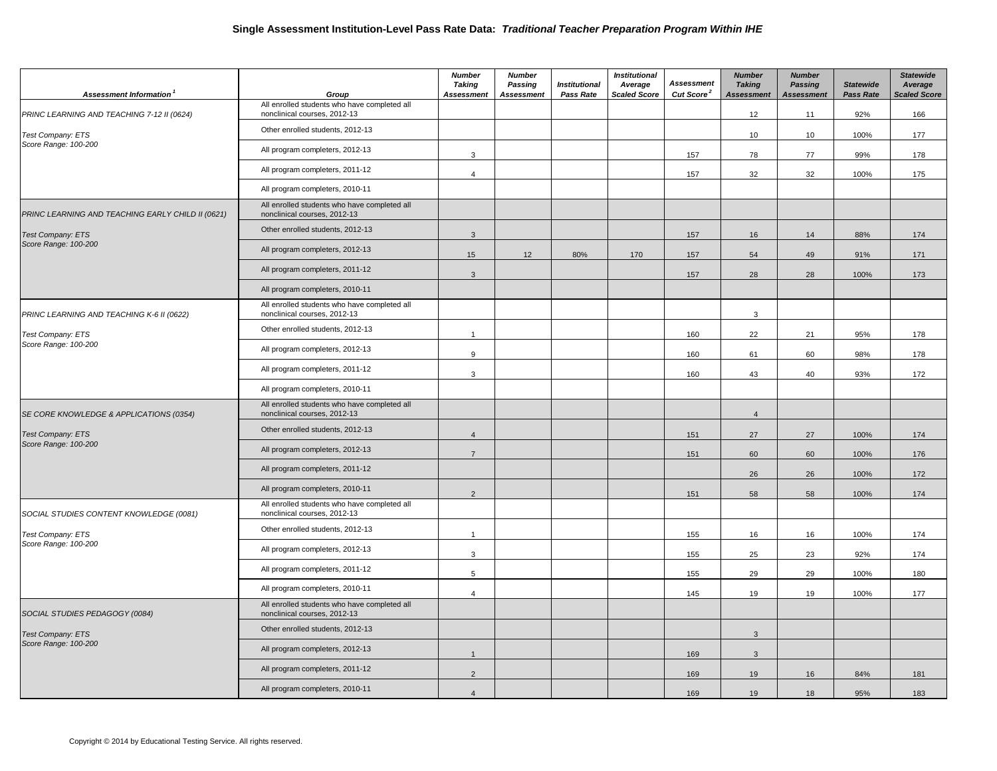| Assessment Information                            | Group                                                                        | <b>Number</b><br><b>Taking</b><br><b>Assessment</b> | <b>Number</b><br>Passing<br><b>Assessment</b> | <b>Institutional</b><br>Pass Rate | <b>Institutional</b><br>Average<br><b>Scaled Score</b> | <b>Assessment</b><br>Cut Score <sup>2</sup> | <b>Number</b><br><b>Taking</b><br><b>Assessment</b> | <b>Number</b><br><b>Passing</b><br><b>Assessment</b> | <b>Statewide</b><br><b>Pass Rate</b> | <b>Statewide</b><br>Average<br><b>Scaled Score</b> |
|---------------------------------------------------|------------------------------------------------------------------------------|-----------------------------------------------------|-----------------------------------------------|-----------------------------------|--------------------------------------------------------|---------------------------------------------|-----------------------------------------------------|------------------------------------------------------|--------------------------------------|----------------------------------------------------|
| PRINC LEARNING AND TEACHING 7-12 II (0624)        | All enrolled students who have completed all<br>nonclinical courses, 2012-13 |                                                     |                                               |                                   |                                                        |                                             | 12                                                  | 11                                                   | 92%                                  | 166                                                |
| <b>Test Company: ETS</b>                          | Other enrolled students, 2012-13                                             |                                                     |                                               |                                   |                                                        |                                             | 10                                                  | 10                                                   | 100%                                 | 177                                                |
| Score Range: 100-200                              | All program completers, 2012-13                                              | 3                                                   |                                               |                                   |                                                        | 157                                         | 78                                                  | 77                                                   | 99%                                  | 178                                                |
|                                                   | All program completers, 2011-12                                              | $\overline{4}$                                      |                                               |                                   |                                                        | 157                                         | 32                                                  | 32                                                   | 100%                                 | 175                                                |
|                                                   | All program completers, 2010-11                                              |                                                     |                                               |                                   |                                                        |                                             |                                                     |                                                      |                                      |                                                    |
| PRINC LEARNING AND TEACHING EARLY CHILD II (0621) | All enrolled students who have completed all<br>nonclinical courses, 2012-13 |                                                     |                                               |                                   |                                                        |                                             |                                                     |                                                      |                                      |                                                    |
| <b>Test Company: ETS</b>                          | Other enrolled students, 2012-13                                             | $\mathbf{3}$                                        |                                               |                                   |                                                        | 157                                         | 16                                                  | 14                                                   | 88%                                  | 174                                                |
| Score Range: 100-200                              | All program completers, 2012-13                                              | 15                                                  | 12                                            | 80%                               | 170                                                    | 157                                         | 54                                                  | 49                                                   | 91%                                  | 171                                                |
|                                                   | All program completers, 2011-12                                              | $\mathbf{3}$                                        |                                               |                                   |                                                        | 157                                         | 28                                                  | 28                                                   | 100%                                 | 173                                                |
|                                                   | All program completers, 2010-11                                              |                                                     |                                               |                                   |                                                        |                                             |                                                     |                                                      |                                      |                                                    |
| PRINC LEARNING AND TEACHING K-6 II (0622)         | All enrolled students who have completed all<br>nonclinical courses, 2012-13 |                                                     |                                               |                                   |                                                        |                                             | 3                                                   |                                                      |                                      |                                                    |
| <b>Test Company: ETS</b>                          | Other enrolled students, 2012-13                                             | $\mathbf{1}$                                        |                                               |                                   |                                                        | 160                                         | 22                                                  | 21                                                   | 95%                                  | 178                                                |
| Score Range: 100-200                              | All program completers, 2012-13                                              | 9                                                   |                                               |                                   |                                                        | 160                                         | 61                                                  | 60                                                   | 98%                                  | 178                                                |
|                                                   | All program completers, 2011-12                                              | 3                                                   |                                               |                                   |                                                        | 160                                         | 43                                                  | 40                                                   | 93%                                  | 172                                                |
|                                                   | All program completers, 2010-11                                              |                                                     |                                               |                                   |                                                        |                                             |                                                     |                                                      |                                      |                                                    |
| SE CORE KNOWLEDGE & APPLICATIONS (0354)           | All enrolled students who have completed all<br>nonclinical courses, 2012-13 |                                                     |                                               |                                   |                                                        |                                             | $\overline{4}$                                      |                                                      |                                      |                                                    |
| <b>Test Company: ETS</b>                          | Other enrolled students, 2012-13                                             | $\overline{4}$                                      |                                               |                                   |                                                        | 151                                         | 27                                                  | 27                                                   | 100%                                 | 174                                                |
| Score Range: 100-200                              | All program completers, 2012-13                                              | $\overline{7}$                                      |                                               |                                   |                                                        | 151                                         | 60                                                  | 60                                                   | 100%                                 | 176                                                |
|                                                   | All program completers, 2011-12                                              |                                                     |                                               |                                   |                                                        |                                             | 26                                                  | 26                                                   | 100%                                 | 172                                                |
|                                                   | All program completers, 2010-11                                              | $\overline{2}$                                      |                                               |                                   |                                                        | 151                                         | 58                                                  | 58                                                   | 100%                                 | 174                                                |
| SOCIAL STUDIES CONTENT KNOWLEDGE (0081)           | All enrolled students who have completed all<br>nonclinical courses, 2012-13 |                                                     |                                               |                                   |                                                        |                                             |                                                     |                                                      |                                      |                                                    |
| Test Company: ETS                                 | Other enrolled students, 2012-13                                             | $\mathbf{1}$                                        |                                               |                                   |                                                        | 155                                         | 16                                                  | 16                                                   | 100%                                 | 174                                                |
| Score Range: 100-200                              | All program completers, 2012-13                                              | 3                                                   |                                               |                                   |                                                        | 155                                         | 25                                                  | 23                                                   | 92%                                  | 174                                                |
|                                                   | All program completers, 2011-12                                              | 5                                                   |                                               |                                   |                                                        | 155                                         | 29                                                  | 29                                                   | 100%                                 | 180                                                |
|                                                   | All program completers, 2010-11                                              | $\overline{4}$                                      |                                               |                                   |                                                        | 145                                         | 19                                                  | 19                                                   | 100%                                 | 177                                                |
| SOCIAL STUDIES PEDAGOGY (0084)                    | All enrolled students who have completed all<br>nonclinical courses, 2012-13 |                                                     |                                               |                                   |                                                        |                                             |                                                     |                                                      |                                      |                                                    |
| <b>Test Company: ETS</b>                          | Other enrolled students, 2012-13                                             |                                                     |                                               |                                   |                                                        |                                             | $\mathbf{3}$                                        |                                                      |                                      |                                                    |
| Score Range: 100-200                              | All program completers, 2012-13                                              | $\overline{1}$                                      |                                               |                                   |                                                        | 169                                         | $\mathbf{3}$                                        |                                                      |                                      |                                                    |
|                                                   | All program completers, 2011-12                                              | $\overline{2}$                                      |                                               |                                   |                                                        | 169                                         | 19                                                  | 16                                                   | 84%                                  | 181                                                |
|                                                   | All program completers, 2010-11                                              | $\overline{4}$                                      |                                               |                                   |                                                        | 169                                         | 19                                                  | 18                                                   | 95%                                  | 183                                                |